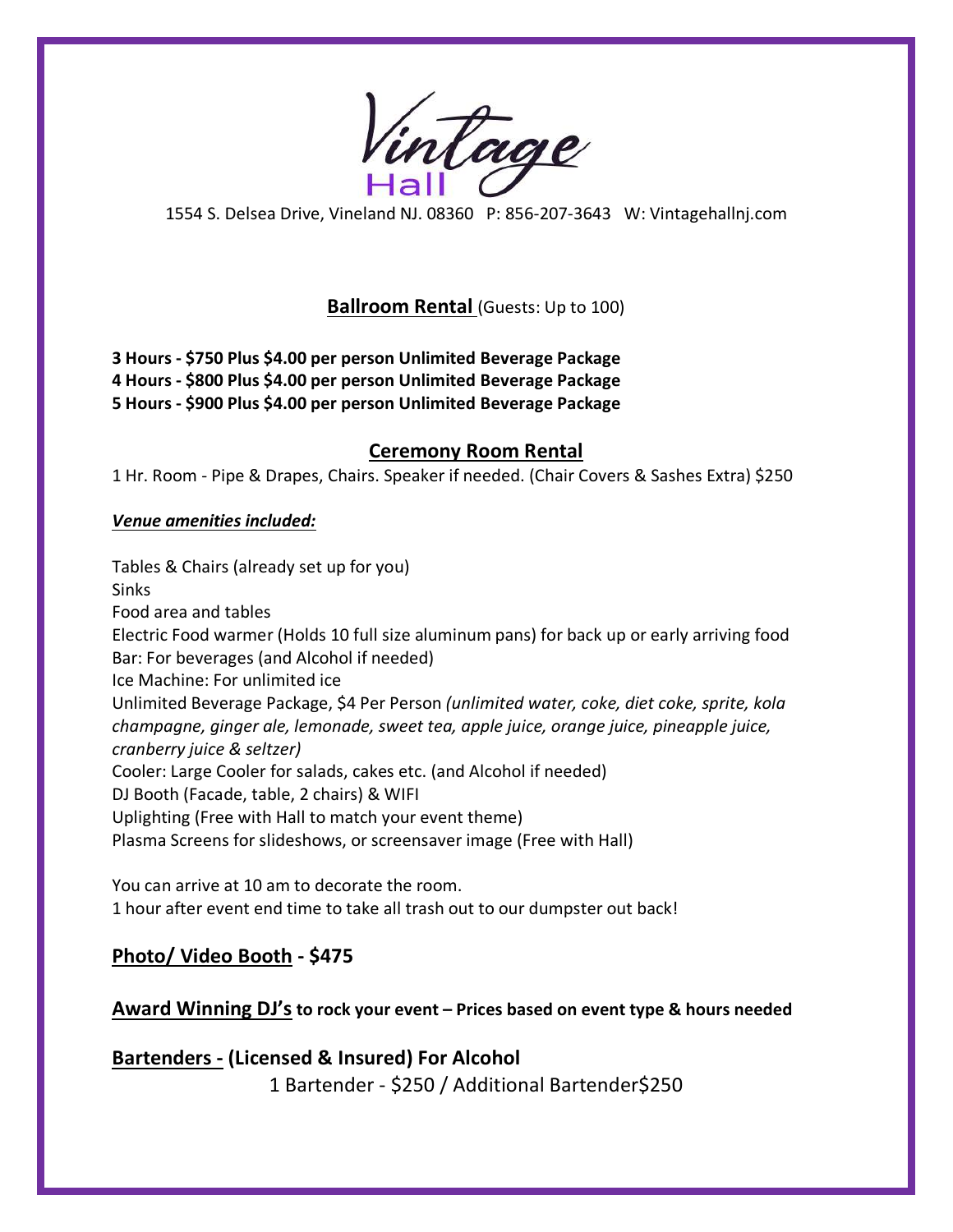Vintage

1554 S. Delsea Drive, Vineland NJ. 08360 P: 856-207-3643 W: Vintagehallnj.com

## **Ballroom Rental** (Guests: Up to 100)

**3 Hours - \$750 Plus \$4.00 per person Unlimited Beverage Package 4 Hours - \$800 Plus \$4.00 per person Unlimited Beverage Package 5 Hours - \$900 Plus \$4.00 per person Unlimited Beverage Package**

### **Ceremony Room Rental**

1 Hr. Room - Pipe & Drapes, Chairs. Speaker if needed. (Chair Covers & Sashes Extra) \$250

#### *Venue amenities included:*

Tables & Chairs (already set up for you) Sinks Food area and tables Electric Food warmer (Holds 10 full size aluminum pans) for back up or early arriving food Bar: For beverages (and Alcohol if needed) Ice Machine: For unlimited ice Unlimited Beverage Package, \$4 Per Person *(unlimited water, coke, diet coke, sprite, kola champagne, ginger ale, lemonade, sweet tea, apple juice, orange juice, pineapple juice, cranberry juice & seltzer)* Cooler: Large Cooler for salads, cakes etc. (and Alcohol if needed) DJ Booth (Facade, table, 2 chairs) & WIFI Uplighting (Free with Hall to match your event theme) Plasma Screens for slideshows, or screensaver image (Free with Hall)

You can arrive at 10 am to decorate the room. 1 hour after event end time to take all trash out to our dumpster out back!

## **Photo/ Video Booth - \$475**

**Award Winning DJ's to rock your event – Prices based on event type & hours needed**

**Bartenders - (Licensed & Insured) For Alcohol** 1 Bartender - \$250 / Additional Bartender\$250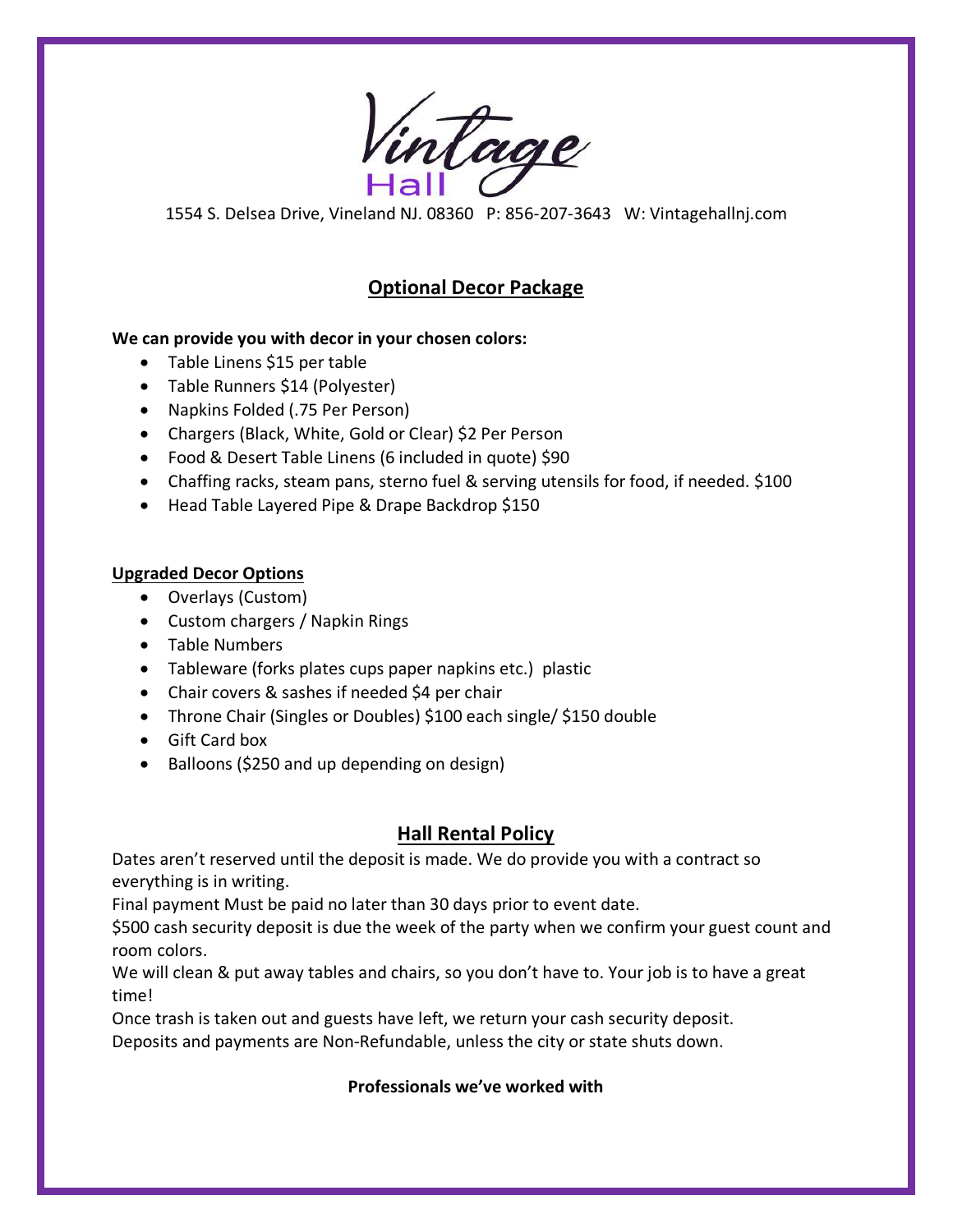Vintage

1554 S. Delsea Drive, Vineland NJ. 08360 P: 856-207-3643 W: Vintagehallnj.com

# **Optional Decor Package**

#### **We can provide you with decor in your chosen colors:**

- Table Linens \$15 per table
- Table Runners \$14 (Polyester)
- Napkins Folded (.75 Per Person)
- Chargers (Black, White, Gold or Clear) \$2 Per Person
- Food & Desert Table Linens (6 included in quote) \$90
- Chaffing racks, steam pans, sterno fuel & serving utensils for food, if needed. \$100
- Head Table Layered Pipe & Drape Backdrop \$150

### **Upgraded Decor Options**

- Overlays (Custom)
- Custom chargers / Napkin Rings
- Table Numbers
- Tableware (forks plates cups paper napkins etc.) plastic
- Chair covers & sashes if needed \$4 per chair
- Throne Chair (Singles or Doubles) \$100 each single/ \$150 double
- Gift Card box
- Balloons (\$250 and up depending on design)

## **Hall Rental Policy**

Dates aren't reserved until the deposit is made. We do provide you with a contract so everything is in writing.

Final payment Must be paid no later than 30 days prior to event date.

\$500 cash security deposit is due the week of the party when we confirm your guest count and room colors.

We will clean & put away tables and chairs, so you don't have to. Your job is to have a great time!

Once trash is taken out and guests have left, we return your cash security deposit.

Deposits and payments are Non-Refundable, unless the city or state shuts down.

### **Professionals we've worked with**